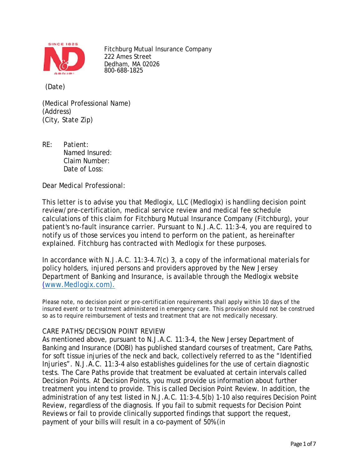

Fitchburg Mutual Insurance Company 222 Ames Street Dedham, MA 02026 800-688-1825

(Date)

(Medical Professional Name) (Address) (City, State Zip)

RE: Patient: Named Insured: Claim Number: Date of Loss:

Dear Medical Professional:

This letter is to advise you that Medlogix, LLC (Medlogix) is handling decision point review/pre-certification, medical service review and medical fee schedule calculations of this claim for Fitchburg Mutual Insurance Company (Fitchburg), your patient's no-fault insurance carrier. Pursuant to N.J.A.C. 11:3-4, you are required to notify us of those services you intend to perform on the patient, as hereinafter explained. Fitchburg has contracted with Medlogix for these purposes.

In accordance with N.J.A.C. 11:3-4.7(c) 3, a copy of the informational materials for policy holders, injured persons and providers approved by the New Jersey Department of Banking and Insurance, is available through the Medlogix website [\(www.Medlogix.com\).](http://www.medlogix.com)./)

Please note, no decision point or pre-certification requirements shall apply within 10 days of the insured event or to treatment administered in emergency care. This provision should not be construed so as to require reimbursement of tests and treatment that are not medically necessary.

## CARE PATHS/DECISION POINT REVIEW

As mentioned above, pursuant to N.J.A.C. 11:3-4, the New Jersey Department of Banking and Insurance (DOBI) has published standard courses of treatment, Care Paths, for soft tissue injuries of the neck and back, collectively referred to as the "Identified Injuries". N.J.A.C. 11:3-4 also establishes guidelines for the use of certain diagnostic tests. The Care Paths provide that treatment be evaluated at certain intervals called Decision Points. At Decision Points, you must provide us information about further treatment you intend to provide. This is called Decision Point Review. In addition, the administration of any test listed in N.J.A.C. 11:3-4.5(b) 1-10 also requires Decision Point Review, regardless of the diagnosis. If you fail to submit requests for Decision Point Reviews or fail to provide clinically supported findings that support the request, payment of your bills will result in a co-payment of 50% (in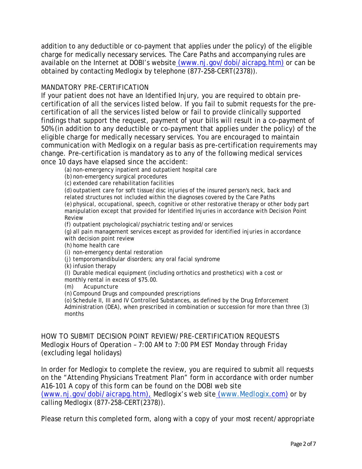addition to any deductible or co-payment that applies under the policy) of the eligible charge for medically necessary services. The Care Paths and accompanying rules are available on the Internet at DOBI's website [\(www.nj.gov/dobi/aicrapg.htm\)](http://www.nj.gov/dobi/aicrapg.htm)) or can be obtained by contacting Medlogix by telephone (877-258-CERT(2378)).

# MANDATORY PRE-CERTIFICATION

If your patient does not have an Identified Injury, you are required to obtain precertification of all the services listed below. If you fail to submit requests for the precertification of all the services listed below or fail to provide clinically supported findings that support the request, payment of your bills will result in a co-payment of 50% (in addition to any deductible or co-payment that applies under the policy) of the eligible charge for medically necessary services. You are encouraged to maintain communication with Medlogix on a regular basis as pre-certification requirements may change. Pre-certification is mandatory as to any of the following medical services once 10 days have elapsed since the accident:

(a) non-emergency inpatient and outpatient hospital care

(b) non-emergency surgical procedures

(c) extended care rehabilitation facilities

(d) outpatient care for soft tissue/disc injuries of the insured person's neck, back and related structures not included within the diagnoses covered by the Care Paths (e) physical, occupational, speech, cognitive or other restorative therapy or other body part manipulation except that provided for Identified Injuries in accordance with Decision Point Review

(f) outpatient psychological/psychiatric testing and/or services

(g) all pain management services except as provided for identified injuries in accordance with decision point review

(h) home health care

(i) non-emergency dental restoration

(j) temporomandibular disorders; any oral facial syndrome

(k) infusion therapy

(l) Durable medical equipment (including orthotics and prosthetics) with a cost or monthly rental in excess of \$75.00.

(m) Acupuncture

(n) Compound Drugs and compounded prescriptions

(o) Schedule II, III and IV Controlled Substances, as defined by the Drug Enforcement Administration (DEA), when prescribed in combination or succession for more than three (3) months

HOW TO SUBMIT DECISION POINT REVIEW/PRE-CERTIFICATION REQUESTS Medlogix Hours of Operation – 7:00 AM to 7:00 PM EST Monday through Friday (excluding legal holidays)

In order for Medlogix to complete the review, you are required to submit all requests on the "Attending Physicians Treatment Plan" form in accordance with order number A16-101 A copy of this form can be found on the DOBI web site [\(www.nj.gov/dobi/aicrapg.htm\),](http://www.nj.gov/dobi/aicrapg.htm),) Medlogix's web site [\(www.Medlogix.](http://www.medlogix/)com) or by calling Medlogix (877-258-CERT(2378)).

Please return this completed form, along with a copy of your most recent/appropriate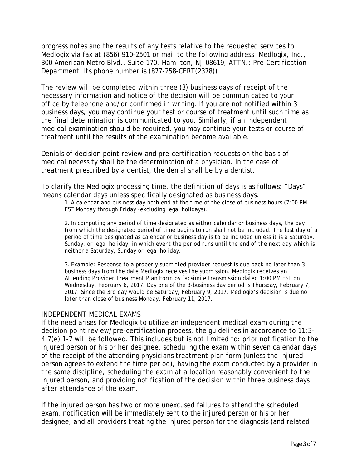progress notes and the results of any tests relative to the requested services to Medlogix via fax at (856) 910-2501 or mail to the following address: Medlogix, Inc., 300 American Metro Blvd., Suite 170, Hamilton, NJ 08619, ATTN.: Pre-Certification Department. Its phone number is (877-258-CERT(2378)).

The review will be completed within three (3) business days of receipt of the necessary information and notice of the decision will be communicated to your office by telephone and/or confirmed in writing. If you are not notified within 3 business days, you may continue your test or course of treatment until such time as the final determination is communicated to you. Similarly, if an independent medical examination should be required, you may continue your tests or course of treatment until the results of the examination become available.

Denials of decision point review and pre-certification requests on the basis of medical necessity shall be the determination of a physician. In the case of treatment prescribed by a dentist, the denial shall be by a dentist.

To clarify the Medlogix processing time, the definition of days is as follows: "Days" means calendar days unless specifically designated as business days.

1. A calendar and business day both end at the time of the close of business hours (7:00 PM EST Monday through Friday (excluding legal holidays).

2. In computing any period of time designated as either calendar or business days, the day from which the designated period of time begins to run shall not be included. The last day of a period of time designated as calendar or business day is to be included unless it is a Saturday, Sunday, or legal holiday, in which event the period runs until the end of the next day which is neither a Saturday, Sunday or legal holiday.

3. Example: Response to a properly submitted provider request is due back no later than 3 business days from the date Medlogix receives the submission. Medlogix receives an Attending Provider Treatment Plan Form by facsimile transmission dated 1:00 PM EST on Wednesday, February 6, 2017. Day one of the 3-business day period is Thursday, February 7, 2017. Since the 3rd day would be Saturday, February 9, 2017, Medlogix's decision is due no later than close of business Monday, February 11, 2017.

#### INDEPENDENT MEDICAL EXAMS

If the need arises for Medlogix to utilize an independent medical exam during the decision point review/pre-certification process, the guidelines in accordance to 11:3- 4.7(e) 1-7 will be followed. This includes but is not limited to: prior notification to the injured person or his or her designee, scheduling the exam within seven calendar days of the receipt of the attending physicians treatment plan form (unless the injured person agrees to extend the time period), having the exam conducted by a provider in the same discipline, scheduling the exam at a location reasonably convenient to the injured person, and providing notification of the decision within three business days after attendance of the exam.

If the injured person has two or more unexcused failures to attend the scheduled exam, notification will be immediately sent to the injured person or his or her designee, and all providers treating the injured person for the diagnosis (and related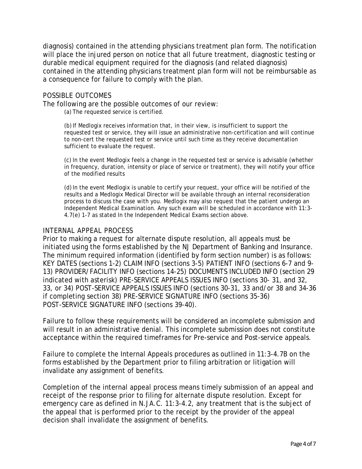diagnosis) contained in the attending physicians treatment plan form. The notification will place the injured person on notice that all future treatment, diagnostic testing or durable medical equipment required for the diagnosis (and related diagnosis) contained in the attending physicians treatment plan form will not be reimbursable as a consequence for failure to comply with the plan.

### POSSIBLE OUTCOMES

The following are the possible outcomes of our review:

(a) The requested service is certified.

(b)If Medlogix receives information that, in their view, is insufficient to support the requested test or service, they will issue an administrative non-certification and will continue to non-cert the requested test or service until such time as they receive documentation sufficient to evaluate the request.

(c) In the event Medlogix feels a change in the requested test or service is advisable (whether in frequency, duration, intensity or place of service or treatment), they will notify your office of the modified results

(d)In the event Medlogix is unable to certify your request, your office will be notified of the results and a Medlogix Medical Director will be available through an internal reconsideration process to discuss the case with you. Medlogix may also request that the patient undergo an Independent Medical Examination. Any such exam will be scheduled in accordance with 11:3- 4.7(e) 1-7 as stated In the Independent Medical Exams section above.

#### INTERNAL APPEAL PROCESS

Prior to making a request for alternate dispute resolution, all appeals must be initiated using the forms established by the NJ Department of Banking and Insurance. The minimum required information (identified by form section number) is as follows: KEY DATES (sections 1-2) CLAIM INFO (sections 3-5) PATIENT INFO (sections 6-7 and 9- 13) PROVIDER/FACILITY INFO (sections 14-25) DOCUMENTS INCLUDED INFO (section 29 indicated with asterisk) PRE-SERVICE APPEALS ISSUES INFO (sections 30- 31, and 32, 33, or 34) POST-SERVICE APPEALS ISSUES INFO (sections 30-31, 33 and/or 38 and 34-36 if completing section 38) PRE-SERVICE SIGNATURE INFO (sections 35-36) POST-SERVICE SIGNATURE INFO (sections 39-40).

Failure to follow these requirements will be considered an incomplete submission and will result in an administrative denial. This incomplete submission does not constitute acceptance within the required timeframes for Pre-service and Post-service appeals.

Failure to complete the Internal Appeals procedures as outlined in 11:3-4.7B on the forms established by the Department prior to filing arbitration or litigation will invalidate any assignment of benefits.

Completion of the internal appeal process means timely submission of an appeal and receipt of the response prior to filing for alternate dispute resolution. Except for emergency care as defined in N.JA.C. 11:3-4.2, any treatment that is the subject of the appeal that is performed prior to the receipt by the provider of the appeal decision shall invalidate the assignment of benefits.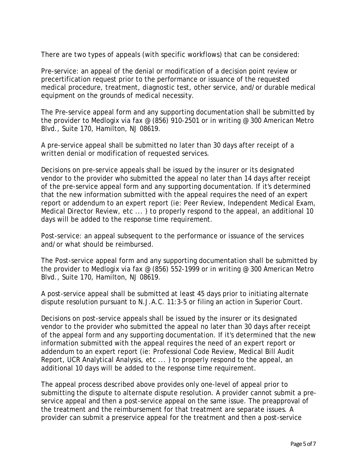There are two types of appeals (with specific workflows) that can be considered:

Pre-service: an appeal of the denial or modification of a decision point review or precertification request prior to the performance or issuance of the requested medical procedure, treatment, diagnostic test, other service, and/or durable medical equipment on the grounds of medical necessity.

The Pre-service appeal form and any supporting documentation shall be submitted by the provider to Medlogix via fax @ (856) 910-2501 or in writing @ 300 American Metro Blvd., Suite 170, Hamilton, NJ 08619.

A pre-service appeal shall be submitted no later than 30 days after receipt of a written denial or modification of requested services.

Decisions on pre-service appeals shall be issued by the insurer or its designated vendor to the provider who submitted the appeal no later than 14 days after receipt of the pre-service appeal form and any supporting documentation. If it's determined that the new information submitted with the appeal requires the need of an expert report or addendum to an expert report (ie: Peer Review, Independent Medical Exam, Medical Director Review, etc ... ) to properly respond to the appeal, an additional 10 days will be added to the response time requirement.

Post-service: an appeal subsequent to the performance or issuance of the services and/or what should be reimbursed.

The Post-service appeal form and any supporting documentation shall be submitted by the provider to Medlogix via fax  $\omega$  (856) 552-1999 or in writing  $\omega$  300 American Metro Blvd., Suite 170, Hamilton, NJ 08619.

A post-service appeal shall be submitted at least 45 days prior to initiating alternate dispute resolution pursuant to N.J.A.C. 11:3-5 or filing an action in Superior Court.

Decisions on post-service appeals shall be issued by the insurer or its designated vendor to the provider who submitted the appeal no later than 30 days after receipt of the appeal form and any supporting documentation. If it's determined that the new information submitted with the appeal requires the need of an expert report or addendum to an expert report (ie: Professional Code Review, Medical Bill Audit Report, UCR Analytical Analysis, etc ... ) to properly respond to the appeal, an additional 10 days will be added to the response time requirement.

The appeal process described above provides only one-level of appeal prior to submitting the dispute to alternate dispute resolution. A provider cannot submit a preservice appeal and then a post-service appeal on the same issue. The preapproval of the treatment and the reimbursement for that treatment are separate issues. A provider can submit a preservice appeal for the treatment and then a post-service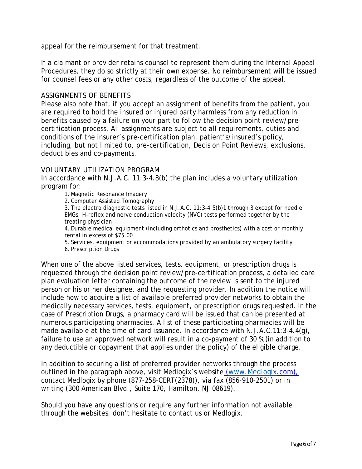appeal for the reimbursement for that treatment.

If a claimant or provider retains counsel to represent them during the Internal Appeal Procedures, they do so strictly at their own expense. No reimbursement will be issued for counsel fees or any other costs, regardless of the outcome of the appeal.

## ASSIGNMENTS OF BENEFITS

Please also note that, if you accept an assignment of benefits from the patient, you are required to hold the insured or injured party harmless from any reduction in benefits caused by a failure on your part to follow the decision point review/precertification process. All assignments are subject to all requirements, duties and conditions of the insurer's pre-certification plan, patient's/insured's policy, including, but not limited to, pre-certification, Decision Point Reviews, exclusions, deductibles and co-payments.

### VOLUNTARY UTILIZATION PROGRAM

In accordance with N.J.A.C. 11:3-4.8(b) the plan includes a voluntary utilization program for:

1. Magnetic Resonance Imagery

2. Computer Assisted Tomography

3. The electro diagnostic tests listed in N.J.A.C. 11:3-4.5(b)1 through 3 except for needle EMGs, H-reflex and nerve conduction velocity (NVC) tests performed together by the treating physician

4. Durable medical equipment (including orthotics and prosthetics) with a cost or monthly rental in excess of \$75.00

5. Services, equipment or accommodations provided by an ambulatory surgery facility

6. Prescription Drugs

When one of the above listed services, tests, equipment, or prescription drugs is requested through the decision point review/pre-certification process, a detailed care plan evaluation letter containing the outcome of the review is sent to the injured person or his or her designee, and the requesting provider. In addition the notice will include how to acquire a list of available preferred provider networks to obtain the medically necessary services, tests, equipment, or prescription drugs requested. In the case of Prescription Drugs, a pharmacy card will be issued that can be presented at numerous participating pharmacies. A list of these participating pharmacies will be made available at the time of card issuance. In accordance with N.J.A.C.11:3-4.4(g), failure to use an approved network will result in a co-payment of 30 % (in addition to any deductible or copayment that applies under the policy) of the eligible charge.

In addition to securing a list of preferred provider networks through the process outlined in the paragraph above, visit Medlogix's website [\(www.Medlogix.](http://www.medlogix/)com), contact Medlogix by phone (877-258-CERT(2378)), via fax (856-910-2501) or in writing (300 American Blvd., Suite 170, Hamilton, NJ 08619).

Should you have any questions or require any further information not available through the websites, don't hesitate to contact us or Medlogix.